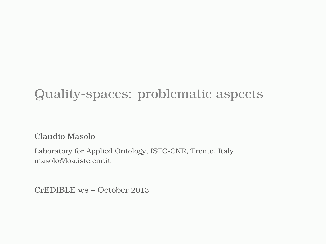#### Quality-spaces: problematic aspects

Claudio Masolo

Laboratory for Applied Ontology, ISTC-CNR, Trento, Italy masolo@loa.istc.cnr.it

CrEDIBLE ws – October 2013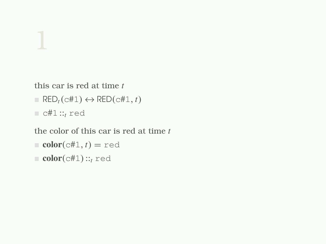this car is red at time *t*

- $\blacksquare$  RED<sub>t</sub>(c#1)  $\leftrightarrow$  RED(c#1, *t*)
- $\Box$  c#1 ::<sub>t</sub> red

the color of this car is red at time *t*

- $\blacksquare$  color(c#1, *t*) = red
- color( $c#1$ ): $t$ <sup>red</sup>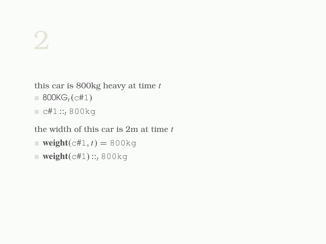this car is 800kg heavy at time *t*

- $= 800KG_t(c#1)$
- $c#1::<sub>t</sub> 800kg$

the width of this car is 2m at time *t*

- $\bullet$  weight(c#1, *t*) = 800kg
- $\blacksquare$  weight(c#1): $\cdot$ <sub>t</sub> 800kg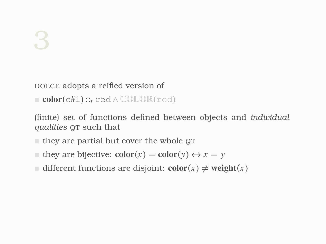#### DOLCE adopts a reified version of

color(c#1)::*<sup>t</sup>* red ∧ COLOR(red)

(finite) set of functions defined between objects and *individual qualities* QT such that

- $\blacksquare$  they are partial but cover the whole  $\mathcal{G}$
- **they are bijective:**  $\text{color}(x) = \text{color}(y) \leftrightarrow x = y$
- different functions are disjoint:  $\text{color}(x) \neq \text{weight}(x)$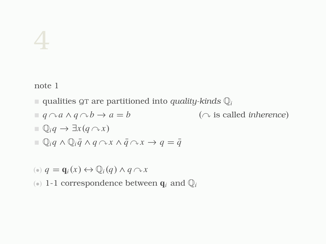note 1

- qualities QT are partitioned into *quality-kinds* Q*<sup>i</sup>*
- $q \cap a \land q \cap b \to a = b$  ( $\cap$  is called *inherence*)

$$
\mathbb{Q}_i q \to \exists x (q \curvearrowright x)
$$

$$
\mathbb{I} \mathbb{Q}_i q \wedge \mathbb{Q}_i \overline{q} \wedge q \wedge x \wedge \overline{q} \wedge x \rightarrow q = \overline{q}
$$

$$
(*) q = \mathbf{q}_i(x) \leftrightarrow \mathbb{Q}_i(q) \land q \cap x
$$

( $\bullet$ ) 1-1 correspondence between  $\mathbf{q}_i$  and  $\mathbb{Q}_i$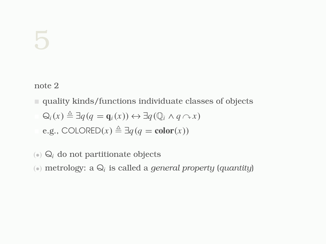note 2

- quality kinds/functions individuate classes of objects  $Q_i(x) \triangleq \exists q (q = \mathbf{q}_i(x)) \leftrightarrow \exists q (\mathbb{Q}_i \land q \land x)$ e.g., COLORED(*x*)  $\triangleq$  ∃*q*(*q* = color(*x*))
- $\langle \cdot \rangle$  Q<sub>i</sub> do not partitionate objects
- (•) metrology: a Q*<sup>i</sup>* is called a *general property* (*quantity*)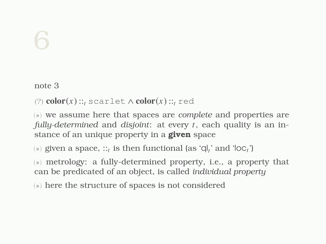note 3

(?)  $color(x) ::<sub>t</sub> scatterlet ∧ color(x) ::<sub>t</sub> red$ 

(•) we assume here that spaces are *complete* and properties are *fully-determined* and *disjoint*: at every *t*, each quality is an instance of an unique property in a **given** space

 $(\bullet)$  given a space,  $::_{t}$  is then functional (as 'ql<sub>t</sub>' and 'loc<sub>t</sub>')

(•) metrology: a fully-determined property, i.e., a property that can be predicated of an object, is called *individual property*

(•) here the structure of spaces is not considered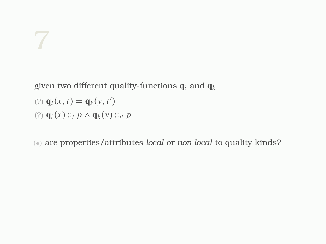given two different quality-functions q*<sup>i</sup>* and q*<sup>k</sup>*

$$
(?)\mathbf{q}_i(x,t) = \mathbf{q}_k(y,t')
$$

(?) 
$$
\mathbf{q}_i(x) ::_t p \wedge \mathbf{q}_k(y) ::_{t'} p
$$

(•) are properties/attributes *local* or *non-local* to quality kinds?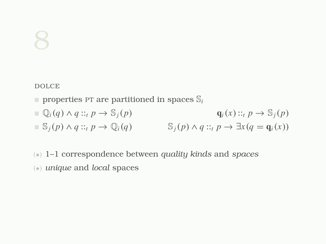DOLCE

- properties PT are partitioned in spaces  $\mathbb{S}_i$
- $\mathbf{q}_i(x) ::_t p \to \mathbb{S}_i(p)$   $\mathbf{q}_i(x) ::_t p \to \mathbb{S}_i(p)$
- $\mathbb{S}_i(p) \wedge q :: t p \rightarrow \mathbb{Q}_i(q)$  S<sub>*j*</sub>(*p*)  $\wedge q :: t p \rightarrow \exists x (q = \mathbf{q}_i(x))$
- (•) 1–1 correspondence between *quality kinds* and *spaces*
- (•) *unique* and *local* spaces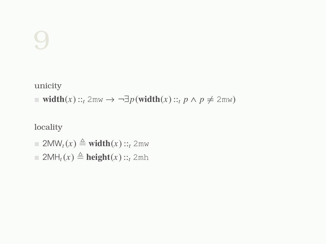unicity

■ width(*x*):: $t$  2mw → ¬ $\exists p$ (width(*x*):: $t$  *p* ∧ *p*  $\neq$  2mw)

locality

- $\equiv 2\text{MW}_t(x) \triangleq \text{width}(x)::=t^2$  2mw
- $\Box$  2MH<sub>t</sub>(*x*)  $\triangleq$  **height**(*x*)::<sub>t</sub> 2mh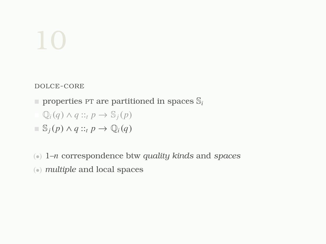DOLCE-CORE

 $\blacksquare$  properties PT are partitioned in spaces  $\mathbb{S}_i$ 

$$
\mathbb{Q}_i(q) \wedge q ::_t p \rightarrow \mathbb{S}_j(p)
$$

$$
\blacksquare \mathbb{S}_j(p) \land q ::_t p \to \mathbb{Q}_i(q)
$$

- (•) 1–*n* correspondence btw *quality kinds* and *spaces*
- (•) *multiple* and local spaces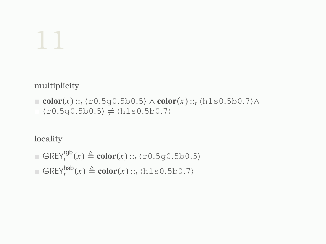multiplicity

```
color(x)::\sum t \langle r0.5g0.5b0.5\rangle \wedge color(x):t \langle h1s0.5b0.7\rangle \wedge\langler0.5g0.5b0.5\rangle \neq \langleh1s0.5b0.7\rangle
```
locality

■ 
$$
\text{GREV}_t^{\text{rgb}}(x) \triangleq \text{color}(x) ::_t \langle \text{r0.5g0.5b0.5} \rangle
$$
  
■  $\text{GREV}_t^{\text{hsb}}(x) \triangleq \text{color}(x) ::_t \langle \text{h1s0.5b0.7} \rangle$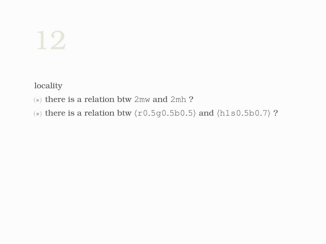locality

- (•) there is a relation btw 2mw and 2mh ?
- $\textcircled{\tiny{*}}$  there is a relation btw  $\langle \text{r0.5g0.5b0.5} \rangle$  and  $\langle \text{h1s0.5b0.7} \rangle$  ?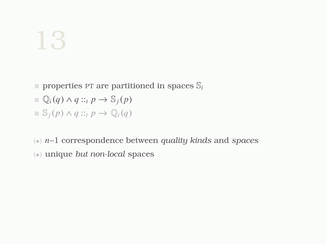- $\blacksquare$  properties PT are partitioned in spaces  $\mathbb{S}_i$
- $\mathbb{Q}_i(q) \wedge q ::_t p \rightarrow \mathbb{S}_i(p)$
- S*j*(*p*) ∧ *q* ::*<sup>t</sup> p* → Q*i*(*q*)
- (•) *n*–1 correspondence between *quality kinds* and *spaces*
- (•) unique *but non-local* spaces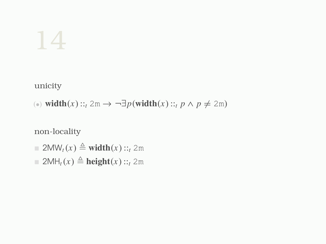unicity

(●) width(*x*):: $t$  2m →  $\neg \exists p$ (width(*x*):: $t$  *p* ∧ *p*  $\neq$  2m)

non-locality

- $\Box$  2MW<sub>t</sub>(*x*)  $\triangleq$  width(*x*)::<sub>t</sub> 2m
- $\Box$  2MH<sub>t</sub>(*x*)  $\triangleq$  **height**(*x*)::*t*</sub> 2m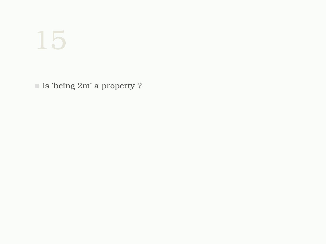is 'being 2m' a property ?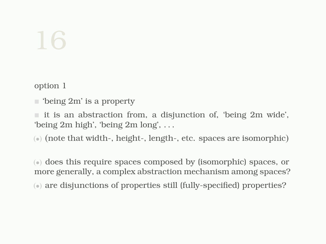option 1

'being 2m' is a property

 $\blacksquare$  it is an abstraction from, a disjunction of, 'being 2m wide', 'being 2m high', 'being 2m long', . . .

(•) (note that width-, height-, length-, etc. spaces are isomorphic)

(•) does this require spaces composed by (isomorphic) spaces, or more generally, a complex abstraction mechanism among spaces?

(•) are disjunctions of properties still (fully-specified) properties?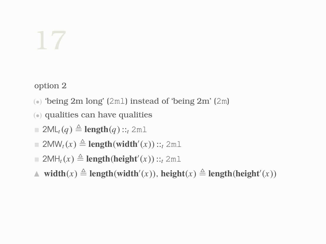option 2

- (•) 'being 2m long' (2ml) instead of 'being 2m' (2m)
- (•) qualities can have qualities
- $\equiv 2ML_t(q) \triangleq$ **length** $(q):_{t} 2m$
- $\equiv 2\textsf{MW}_t(x) \triangleq \textbf{length}(\textbf{width}'(x))::_t 2\textsf{ml}$
- $\Box$  2MH<sub>t</sub>(*x*)  $\triangleq$  **length(height'**(*x*))::<sub>t</sub> 2ml
- **△** width( $x$ )  $\triangleq$  length(width'( $x$ )), height( $x$ )  $\triangleq$  length(height'( $x$ ))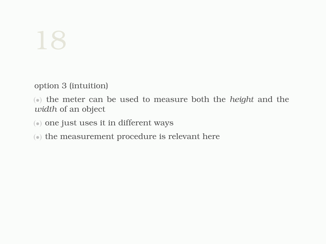option 3 (intuition)

(•) the meter can be used to measure both the *height* and the *width* of an object

- (•) one just uses it in different ways
- (•) the measurement procedure is relevant here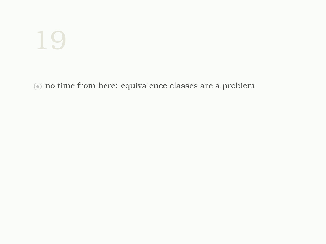(•) no time from here: equivalence classes are a problem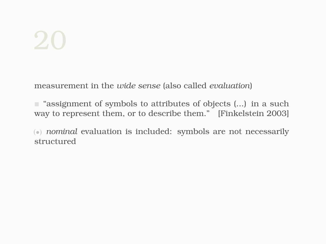#### $\mathcal{L}$

measurement in the *wide sense* (also called *evaluation*)

**E** "assignment of symbols to attributes of objects (...) in a such way to represent them, or to describe them." [Finkelstein 2003]

(•) *nominal* evaluation is included: symbols are not necessarily structured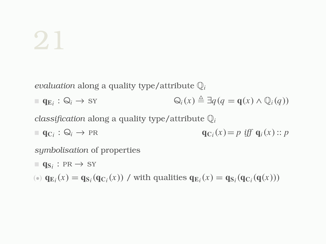*evaluation* along a quality type/attribute Q*<sup>i</sup>*

 $q_{E_i}: \mathbb{Q}_i \to SY$  $Q_i(x) \triangleq \exists q (q = \mathbf{q}(x) \land Q_i(q))$ 

*classification* along a quality type/attribute Q*<sup>i</sup>*

 $\mathbf{q}_{\mathbf{C}_i} : \mathbb{Q}_i \to \text{PR}$  **q**c<sub>*i*</sub>  ${\bf q}_{C_i}(x) = p$  *iff*  ${\bf q}_i(x)$ :: *p* 

*symbolisation* of properties

- $\blacksquare$  **q**<sub>S<sub>i</sub>: PR  $\rightarrow$  SY</sub>
- (\*)  $q_{E_i}(x) = q_{S_i}(q_{C_i}(x))$  / with qualities  $q_{E_i}(x) = q_{S_i}(q_{C_i}(q(x)))$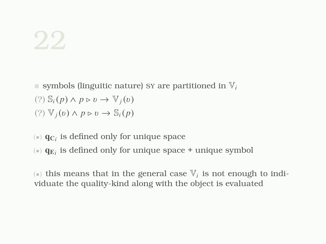- symbols (linguitic nature) sy are partitioned in  $V_i$  $(?)\; S_i(p) \land p \triangleright v \rightarrow \mathbb{V}_i(v)$  $(?) \nabla_i(v) \wedge p \triangleright v \rightarrow \mathbb{S}_i(p)$
- $\left( \bullet \right)$   $\mathbf{q}_{\text{C}_i}$  is defined only for unique space
- $\circledast$   $\mathbf{q}_{\textrm{E}_i}$  is defined only for unique space  $+$  unique symbol

 $\left( \bullet \right)$  this means that in the general case  $\mathbb{V}_{i}$  is not enough to individuate the quality-kind along with the object is evaluated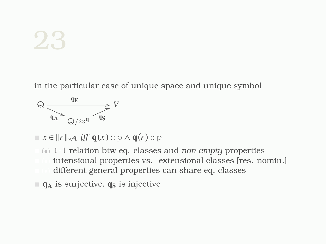in the particular case of unique space and unique symbol



 $\blacksquare$  *x* ∈  $\Vert r \Vert_{\approx q}$  *iff*  $q(x)$ :: p ∧  $q(r)$ :: p

- (•) 1-1 relation btw eq. classes and *non-empty* properties intensional properties vs. extensional classes [res. nomin.] different general properties can share eq. classes
- $\blacksquare$  q<sub>A</sub> is surjective, q<sub>S</sub> is injective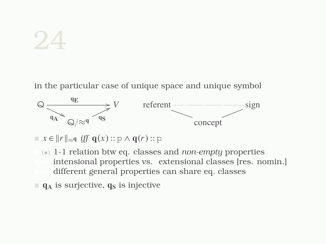in the particular case of unique space and unique symbol



 $\blacksquare$  *x* ∈  $\Vert r \Vert_{\approx q}$  *iff*  $q(x)$ :: p ∧  $q(r)$ :: p

- (•) 1-1 relation btw eq. classes and *non-empty* properties intensional properties vs. extensional classes [res. nomin.] different general properties can share eq. classes
- $\blacksquare$  q<sub>A</sub> is surjective, q<sub>S</sub> is injective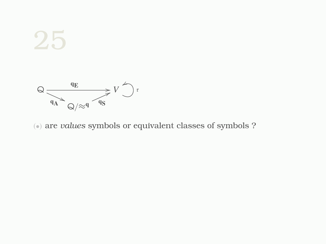

(•) are *values* symbols or equivalent classes of symbols ?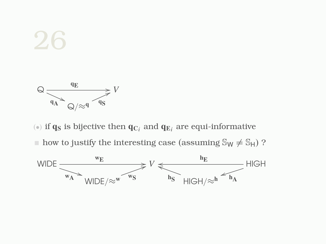

( $\bullet$ ) if  $\mathbf{q}_\mathbf{S}$  is bijective then  $\mathbf{q}_{\mathbf{C}_i}$  and  $\mathbf{q}_{\mathbf{E}_i}$  are equi-informative  $\blacksquare$  how to justify the interesting case (assuming  $\mathbb{S}_{\mathsf{W}} \neq \mathbb{S}_{\mathsf{H}}$ )?

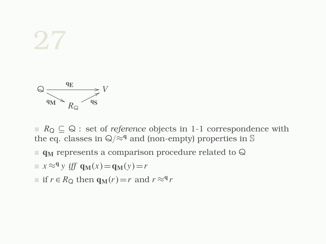

 $R_{\Omega} \subseteq \mathbb{Q}$ : set of *reference* objects in 1-1 correspondence with the eq. classes in  $\mathsf{Q}/\approx^q$  and (non-empty) properties in S

- $\blacksquare$  q<sub>M</sub> represents a comparison procedure related to  $\bigcirc$
- $x \approx^q y$  *iff*  $q_M(x) = q_M(y) = r$
- $\blacksquare$  if *r* ∈ *R*<sub>Q</sub> then  $q_M(r) = r$  and  $r \approx q_r$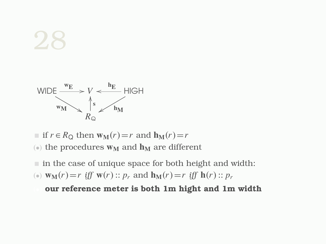

- $\blacksquare$  if *r* ∈ *R*<sub>Q</sub> then  $w_M(r) = r$  and  $h_M(r) = r$
- ( $\bullet$ ) the procedures  $w_M$  and  $h_M$  are different
- $\blacksquare$  in the case of unique space for both height and width:
- (a)  $\mathbf{w}_M(r) = r$  *iff*  $\mathbf{w}(r) :: p_r$  and  $\mathbf{h}_M(r) = r$  *iff*  $\mathbf{h}(r) :: p_r$

our reference meter is both 1m hight and 1m width